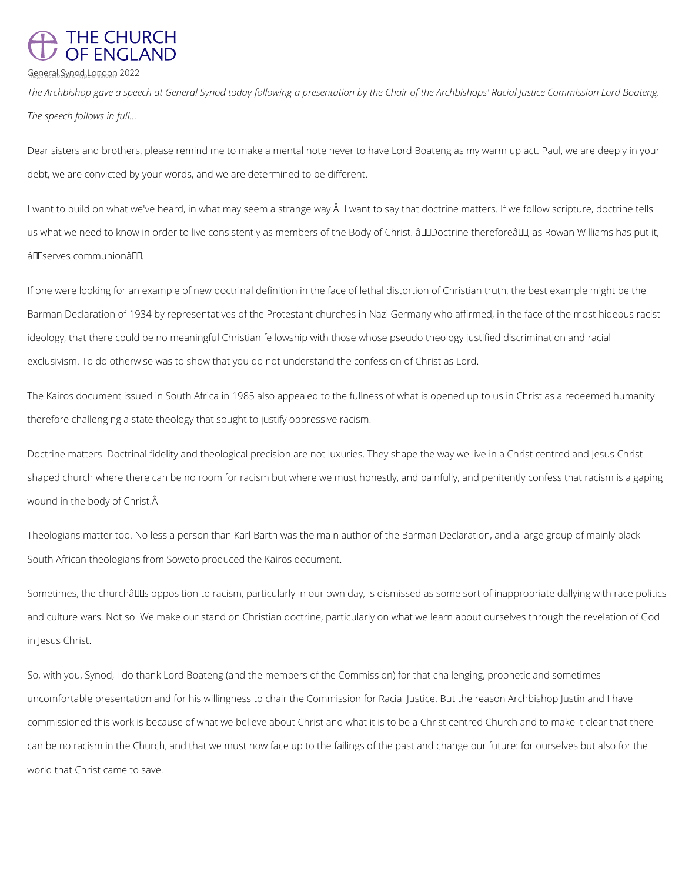## THE CHURCH<br>OF ENGLAND

General Synod London 2022

*The Archbishop gave a speech at General Synod today following a presentation by the Chair of the Archbishops' Racial Justice Commission Lord Boateng. The speech follows in full...*

Dear sisters and brothers, please remind me to make a mental note never to have Lord Boateng as my warm up act. Paul, we are deeply in your debt, we are convicted by your words, and we are determined to be different.

I want to build on what we've heard, in what may seem a strange way. A I want to say that doctrine matters. If we follow scripture, doctrine tells us what we need to know in order to live consistently as members of the Body of Christ.  $\hat{a}$  IIID octrine therefore $\hat{a}$  III, as Rowan Williams has put it, â Olserves communionâ.

If one were looking for an example of new doctrinal definition in the face of lethal distortion of Christian truth, the best example might be the Barman Declaration of 1934 by representatives of the Protestant churches in Nazi Germany who affirmed, in the face of the most hideous racist ideology, that there could be no meaningful Christian fellowship with those whose pseudo theology justified discrimination and racial exclusivism. To do otherwise was to show that you do not understand the confession of Christ as Lord.

Sometimes, the churchâlls opposition to racism, particularly in our own day, is dismissed as some sort of inappropriate dallying with race politics and culture wars. Not so! We make our stand on Christian doctrine, particularly on what we learn about ourselves through the revelation of God in Jesus Christ.

The Kairos document issued in South Africa in 1985 also appealed to the fullness of what is opened up to us in Christ as a redeemed humanity therefore challenging a state theology that sought to justify oppressive racism.

Doctrine matters. Doctrinal fidelity and theological precision are not luxuries. They shape the way we live in a Christ centred and Jesus Christ shaped church where there can be no room for racism but where we must honestly, and painfully, and penitently confess that racism is a gaping wound in the body of Christ.

Theologians matter too. No less a person than Karl Barth was the main author of the Barman Declaration, and a large group of mainly black South African theologians from Soweto produced the Kairos document.

So, with you, Synod, I do thank Lord Boateng (and the members of the Commission) for that challenging, prophetic and sometimes

uncomfortable presentation and for his willingness to chair the Commission for Racial Justice. But the reason Archbishop Justin and I have

commissioned this work is because of what we believe about Christ and what it is to be a Christ centred Church and to make it clear that there

can be no racism in the Church, and that we must now face up to the failings of the past and change our future: for ourselves but also for the world that Christ came to save.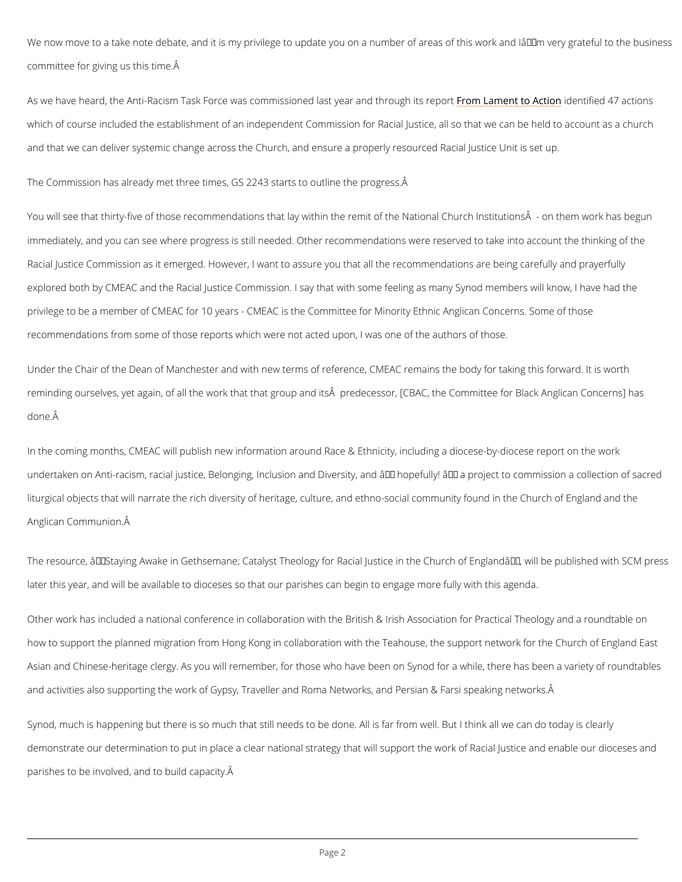We now move to a take note debate, and it is my privilege to update you on a number of area committee for giving us this time.

As we have heard, the Anti-Racism Task Force was commissio Forme oth laam peaartoan Nedoe thi to info integlh 477 sac which of course included the establishment of an independent Commission for Racial Justice, and that we can deliver systemic change across the Church, and ensure a properly resourced

The Commission has already met three times, GS 2243 starts to outline the progress.

You will see that thirty-five of those recommendations that lay within the remit of the Nation immediately, and you can see where progress is still needed. Other recommendations were re Racial Justice Commission as it emerged. However, I want to assure you that all the recomment explored both by CMEAC and the Racial Justice Commission. I say that with some feeling as privilege to be a member of CMEAC for 10 years - CMEAC is the Committee for Minority Ethn recommendations from some of those reports which were not acted upon, I was one of the authors of the state.

Under the Chair of the Dean of Manchester and with new terms of reference, CMEAC remains reminding ourselves, yet again, of all the work that that group and its Äpredecessor, [CBAC done.

In the coming months, CMEAC will publish new information around Race & Ethnicity, includin undertaken on Anti-racism, racial justice, Belonging, Inclusion and Diversity, and  $\hat{a} \in$  "hopefu liturgical objects that will narrate the rich diversity of heritage, culture, and ethno-social co Anglican Communion.

The resource,  $\hat{a} \in \tilde{S}$ taying Awake in Gethsemane; Catalyst Theology for Racial Justice in the later this year, and will be available to dioceses so that our parishes can begin to engage m

Other work has included a national conference in collaboration with the British & Irish Assoc how to support the planned migration from Hong Kong in collaboration with the Teahouse, the

Asian and Chinese-heritage clergy. As you will remember, for those who have been on Synod

and activities also supporting the work of Gypsy, Traveller and Roma Networks, and Persian

Synod, much is happening but there is so much that still needs to be done. All is far from we

demonstrate our determination to put in place a clear national strategy that will support the

parishes to be involved, and to build capacity.